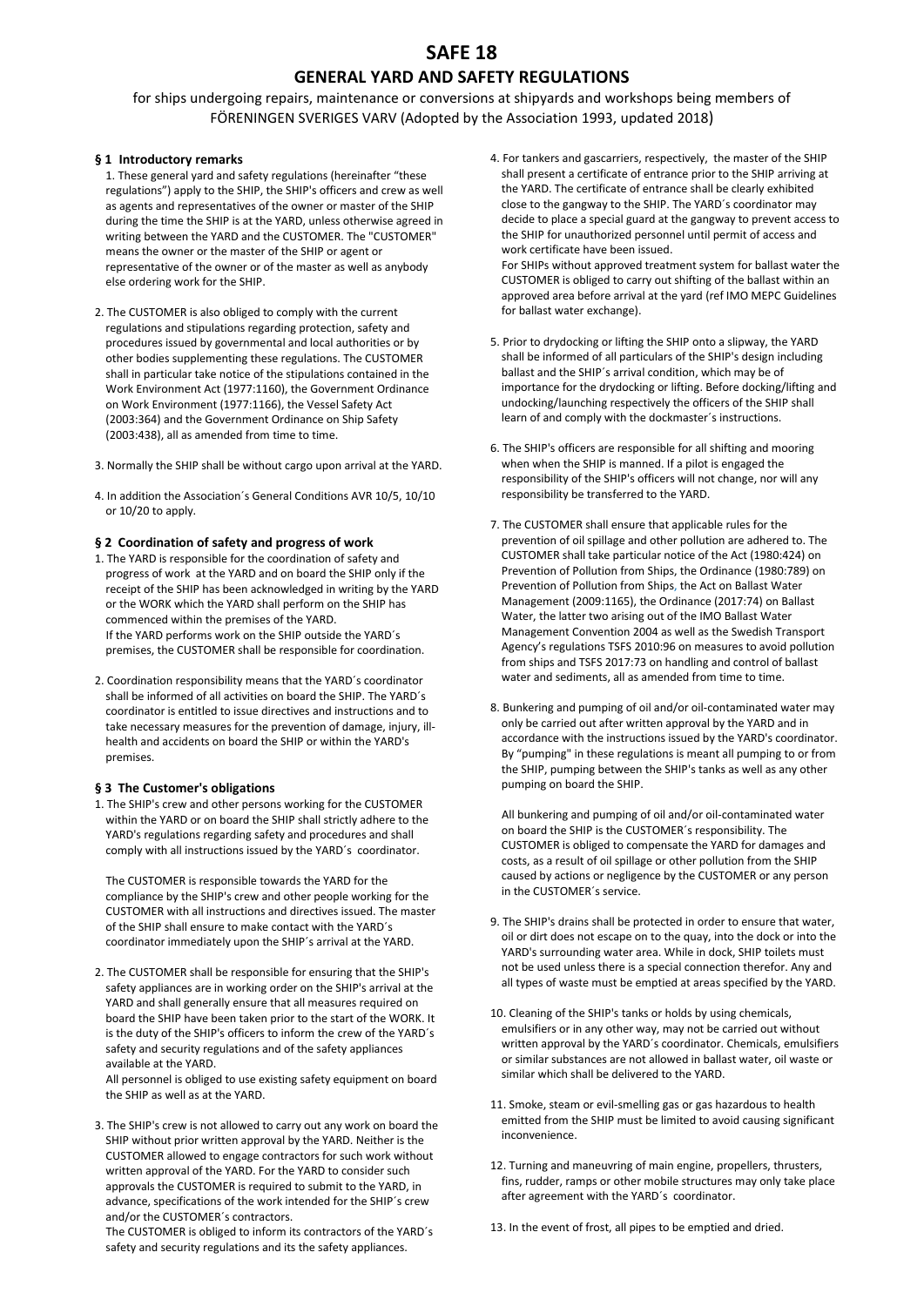# **SAFE 18 GENERAL YARD AND SAFETY REGULATIONS**

for ships undergoing repairs, maintenance or conversions at shipyards and workshops being members of FÖRENINGEN SVERIGES VARV (Adopted by the Association 1993, updated 2018)

## **§ 1 Introductory remarks**

- 1. These general yard and safety regulations (hereinafter "these regulations") apply to the SHIP, the SHIP's officers and crew as well as agents and representatives of the owner or master of the SHIP during the time the SHIP is at the YARD, unless otherwise agreed in writing between the YARD and the CUSTOMER. The "CUSTOMER" means the owner or the master of the SHIP or agent or representative of the owner or of the master as well as anybody else ordering work for the SHIP.
- 2. The CUSTOMER is also obliged to comply with the current regulations and stipulations regarding protection, safety and procedures issued by governmental and local authorities or by other bodies supplementing these regulations. The CUSTOMER shall in particular take notice of the stipulations contained in the Work Environment Act (1977:1160), the Government Ordinance on Work Environment (1977:1166), the Vessel Safety Act (2003:364) and the Government Ordinance on Ship Safety (2003:438), all as amended from time to time.
- 3. Normally the SHIP shall be without cargo upon arrival at the YARD.
- 4. In addition the Association´s General Conditions AVR 10/5, 10/10 or 10/20 to apply.

## **§ 2 Coordination of safety and progress of work**

- 1. The YARD is responsible for the coordination of safety and progress of work at the YARD and on board the SHIP only if the receipt of the SHIP has been acknowledged in writing by the YARD or the WORK which the YARD shall perform on the SHIP has commenced within the premises of the YARD. If the YARD performs work on the SHIP outside the YARD´s premises, the CUSTOMER shall be responsible for coordination.
- 2. Coordination responsibility means that the YARD´s coordinator shall be informed of all activities on board the SHIP. The YARD´s coordinator is entitled to issue directives and instructions and to take necessary measures for the prevention of damage, injury, illhealth and accidents on board the SHIP or within the YARD's premises.

### **§ 3 The Customer's obligations**

1. The SHIP's crew and other persons working for the CUSTOMER within the YARD or on board the SHIP shall strictly adhere to the YARD's regulations regarding safety and procedures and shall comply with all instructions issued by the YARD´s coordinator.

 The CUSTOMER is responsible towards the YARD for the compliance by the SHIP's crew and other people working for the CUSTOMER with all instructions and directives issued. The master of the SHIP shall ensure to make contact with the YARD´s coordinator immediately upon the SHIP´s arrival at the YARD.

2. The CUSTOMER shall be responsible for ensuring that the SHIP's safety appliances are in working order on the SHIP's arrival at the YARD and shall generally ensure that all measures required on board the SHIP have been taken prior to the start of the WORK. It is the duty of the SHIP's officers to inform the crew of the YARD´s safety and security regulations and of the safety appliances available at the YARD.

 All personnel is obliged to use existing safety equipment on board the SHIP as well as at the YARD.

3. The SHIP's crew is not allowed to carry out any work on board the SHIP without prior written approval by the YARD. Neither is the CUSTOMER allowed to engage contractors for such work without written approval of the YARD. For the YARD to consider such approvals the CUSTOMER is required to submit to the YARD, in advance, specifications of the work intended for the SHIP´s crew and/or the CUSTOMER´s contractors.

 The CUSTOMER is obliged to inform its contractors of the YARD´s safety and security regulations and its the safety appliances.

4. For tankers and gascarriers, respectively, the master of the SHIP shall present a certificate of entrance prior to the SHIP arriving at the YARD. The certificate of entrance shall be clearly exhibited close to the gangway to the SHIP. The YARD´s coordinator may decide to place a special guard at the gangway to prevent access to the SHIP for unauthorized personnel until permit of access and work certificate have been issued.

 For SHIPs without approved treatment system for ballast water the CUSTOMER is obliged to carry out shifting of the ballast within an approved area before arrival at the yard (ref IMO MEPC Guidelines for ballast water exchange).

- 5. Prior to drydocking or lifting the SHIP onto a slipway, the YARD shall be informed of all particulars of the SHIP's design including ballast and the SHIP´s arrival condition, which may be of importance for the drydocking or lifting. Before docking/lifting and undocking/launching respectively the officers of the SHIP shall learn of and comply with the dockmaster´s instructions.
- 6. The SHIP's officers are responsible for all shifting and mooring when when the SHIP is manned. If a pilot is engaged the responsibility of the SHIP's officers will not change, nor will any responsibility be transferred to the YARD.
- 7. The CUSTOMER shall ensure that applicable rules for the prevention of oil spillage and other pollution are adhered to. The CUSTOMER shall take particular notice of the Act (1980:424) on Prevention of Pollution from Ships, the Ordinance (1980:789) on Prevention of Pollution from Ships, the Act on Ballast Water Management (2009:1165), the Ordinance (2017:74) on Ballast Water, the latter two arising out of the IMO Ballast Water Management Convention 2004 as well as the Swedish Transport Agency's regulations TSFS 2010:96 on measures to avoid pollution from ships and TSFS 2017:73 on handling and control of ballast water and sediments, all as amended from time to time.
- 8. Bunkering and pumping of oil and/or oil-contaminated water may only be carried out after written approval by the YARD and in accordance with the instructions issued by the YARD's coordinator. By "pumping" in these regulations is meant all pumping to or from the SHIP, pumping between the SHIP's tanks as well as any other pumping on board the SHIP.

 All bunkering and pumping of oil and/or oil-contaminated water on board the SHIP is the CUSTOMER´s responsibility. The CUSTOMER is obliged to compensate the YARD for damages and costs, as a result of oil spillage or other pollution from the SHIP caused by actions or negligence by the CUSTOMER or any person in the CUSTOMER´s service.

- 9. The SHIP's drains shall be protected in order to ensure that water, oil or dirt does not escape on to the quay, into the dock or into the YARD's surrounding water area. While in dock, SHIP toilets must not be used unless there is a special connection therefor. Any and all types of waste must be emptied at areas specified by the YARD.
- 10. Cleaning of the SHIP's tanks or holds by using chemicals, emulsifiers or in any other way, may not be carried out without written approval by the YARD´s coordinator. Chemicals, emulsifiers or similar substances are not allowed in ballast water, oil waste or similar which shall be delivered to the YARD.
- 11. Smoke, steam or evil-smelling gas or gas hazardous to health emitted from the SHIP must be limited to avoid causing significant inconvenience.
- 12. Turning and maneuvring of main engine, propellers, thrusters, fins, rudder, ramps or other mobile structures may only take place after agreement with the YARD´s coordinator.

13. In the event of frost, all pipes to be emptied and dried.